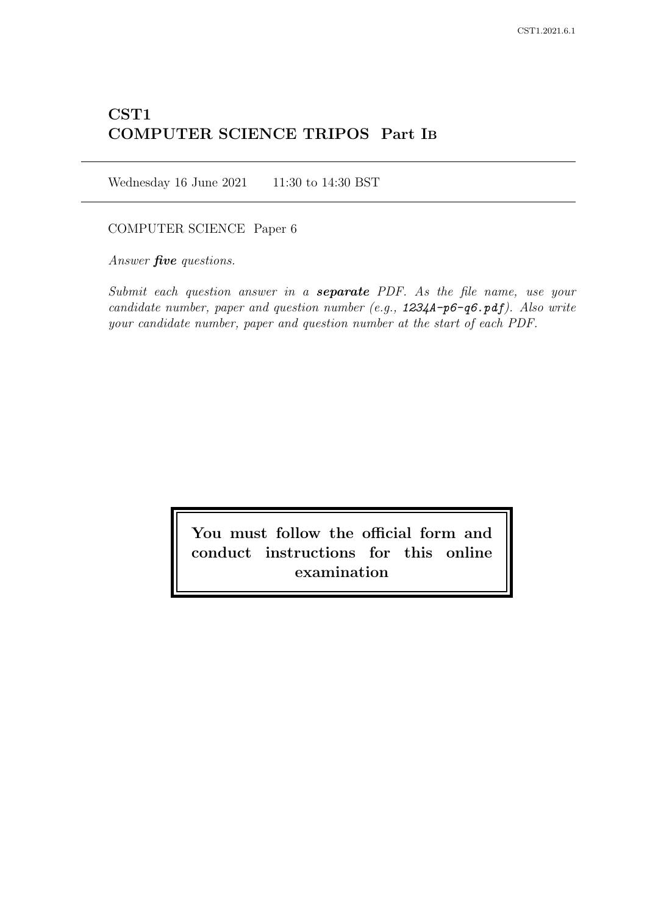# CST1 COMPUTER SCIENCE TRIPOS Part IB

Wednesday 16 June 2021 11:30 to 14:30 BST

# COMPUTER SCIENCE Paper 6

Answer *five* questions.

Submit each question answer in a **separate** PDF. As the file name, use your candidate number, paper and question number (e.g.,  $1234A-p6-q6 \cdot pdf$ ). Also write your candidate number, paper and question number at the start of each PDF.

> You must follow the official form and conduct instructions for this online examination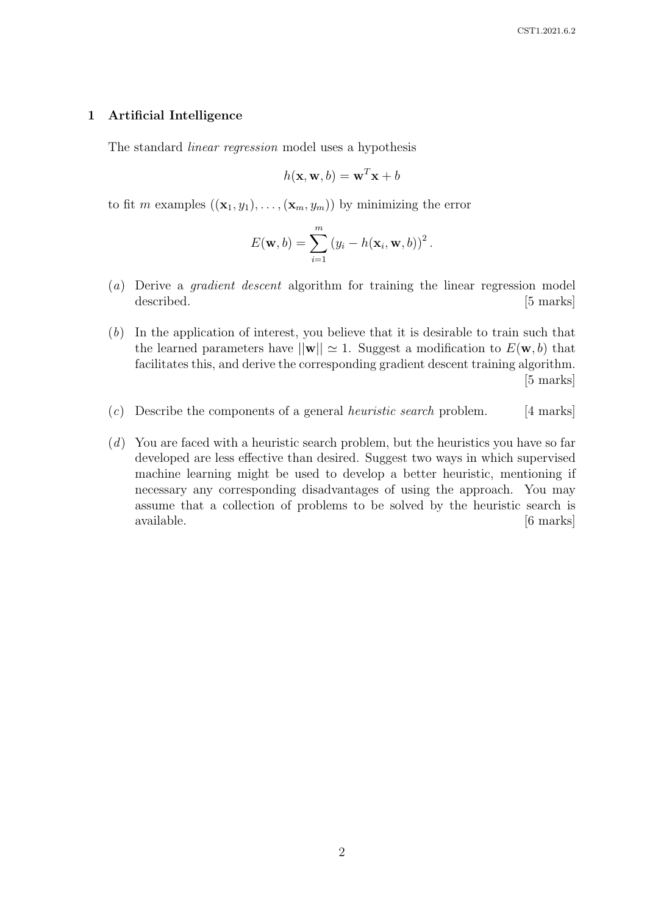#### 1 Artificial Intelligence

The standard linear regression model uses a hypothesis

$$
h(\mathbf{x}, \mathbf{w}, b) = \mathbf{w}^T \mathbf{x} + b
$$

to fit m examples  $((\mathbf{x}_1, y_1), \ldots, (\mathbf{x}_m, y_m))$  by minimizing the error

$$
E(\mathbf{w},b)=\sum_{i=1}^m (y_i-h(\mathbf{x}_i,\mathbf{w},b))^2.
$$

- (a) Derive a gradient descent algorithm for training the linear regression model described. [5 marks]
- (b) In the application of interest, you believe that it is desirable to train such that the learned parameters have  $||\mathbf{w}|| \approx 1$ . Suggest a modification to  $E(\mathbf{w}, b)$  that facilitates this, and derive the corresponding gradient descent training algorithm. [5 marks]
- (c) Describe the components of a general *heuristic search* problem. [4 marks]
- (d) You are faced with a heuristic search problem, but the heuristics you have so far developed are less effective than desired. Suggest two ways in which supervised machine learning might be used to develop a better heuristic, mentioning if necessary any corresponding disadvantages of using the approach. You may assume that a collection of problems to be solved by the heuristic search is available. [6 marks]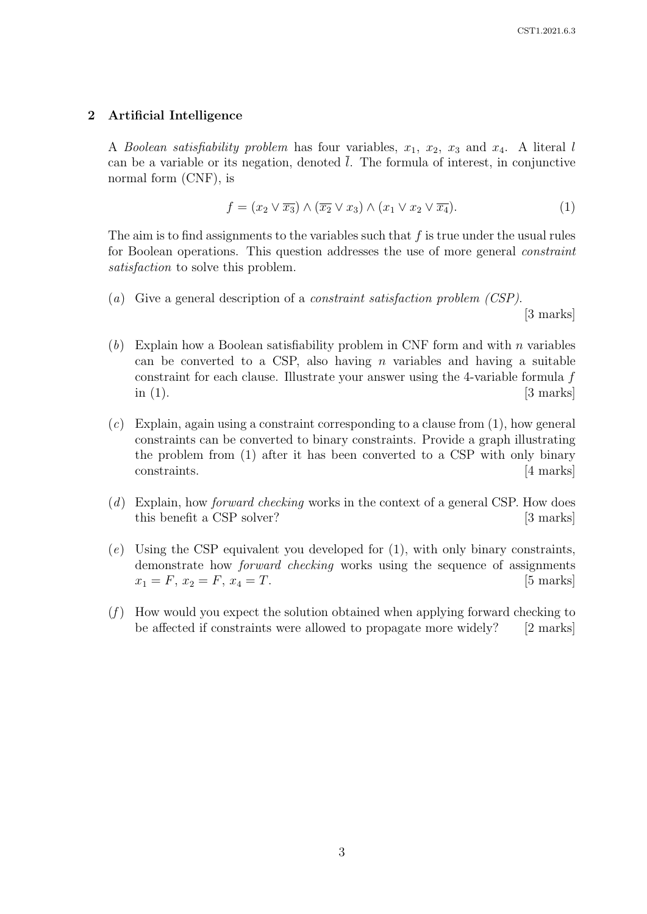## 2 Artificial Intelligence

A Boolean satisfiability problem has four variables,  $x_1, x_2, x_3$  and  $x_4$ . A literal l can be a variable or its negation, denoted  $\overline{l}$ . The formula of interest, in conjunctive normal form (CNF), is

$$
f = (x_2 \lor \overline{x_3}) \land (\overline{x_2} \lor x_3) \land (x_1 \lor x_2 \lor \overline{x_4}).
$$
\n(1)

The aim is to find assignments to the variables such that  $f$  is true under the usual rules for Boolean operations. This question addresses the use of more general constraint satisfaction to solve this problem.

(a) Give a general description of a *constraint satisfaction problem (CSP)*.

[3 marks]

- (b) Explain how a Boolean satisfiability problem in CNF form and with n variables can be converted to a CSP, also having n variables and having a suitable constraint for each clause. Illustrate your answer using the 4-variable formula f in  $(1)$ . [3 marks]
- $(c)$  Explain, again using a constraint corresponding to a clause from  $(1)$ , how general constraints can be converted to binary constraints. Provide a graph illustrating the problem from (1) after it has been converted to a CSP with only binary constraints. [4 marks]
- (d) Explain, how *forward checking* works in the context of a general CSP. How does this benefit a CSP solver? [3 marks]
- (e) Using the CSP equivalent you developed for (1), with only binary constraints, demonstrate how forward checking works using the sequence of assignments  $x_1 = F, x_2 = F, x_4 = T.$  [5 marks]
- $(f)$  How would you expect the solution obtained when applying forward checking to be affected if constraints were allowed to propagate more widely? [2 marks]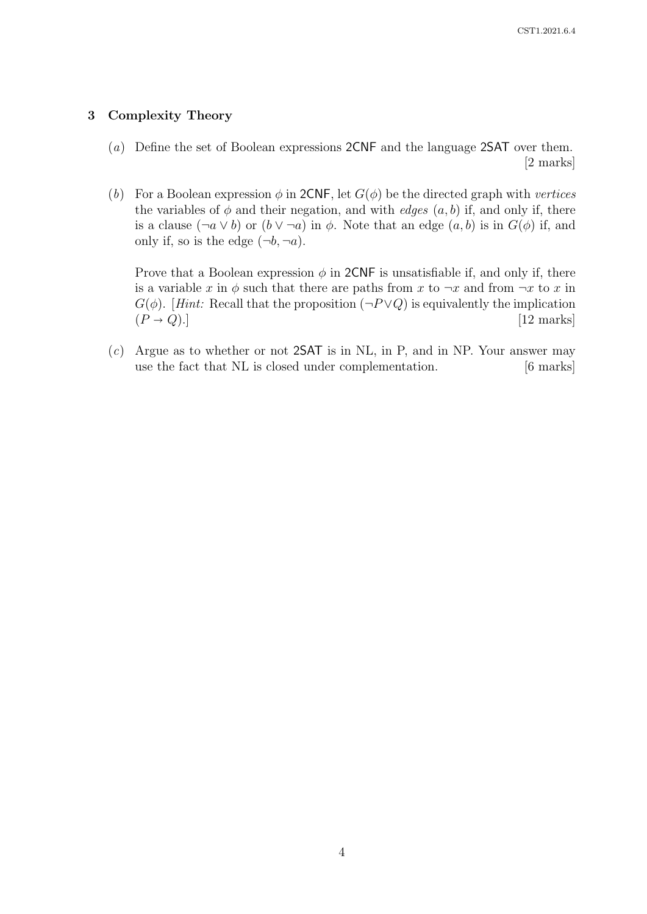# 3 Complexity Theory

- (a) Define the set of Boolean expressions 2CNF and the language 2SAT over them. [2 marks]
- (b) For a Boolean expression  $\phi$  in 2CNF, let  $G(\phi)$  be the directed graph with vertices the variables of  $\phi$  and their negation, and with *edges*  $(a, b)$  if, and only if, there is a clause  $(\neg a \lor b)$  or  $(b \lor \neg a)$  in  $\phi$ . Note that an edge  $(a, b)$  is in  $G(\phi)$  if, and only if, so is the edge  $(\neg b, \neg a)$ .

Prove that a Boolean expression  $\phi$  in 2CNF is unsatisfiable if, and only if, there is a variable x in  $\phi$  such that there are paths from x to  $\neg x$  and from  $\neg x$  to x in  $G(\phi)$ . [Hint: Recall that the proposition  $(\neg P \lor Q)$  is equivalently the implication  $(P \to Q).]$  [12 marks]

 $(c)$  Argue as to whether or not 2SAT is in NL, in P, and in NP. Your answer may use the fact that NL is closed under complementation. [6 marks]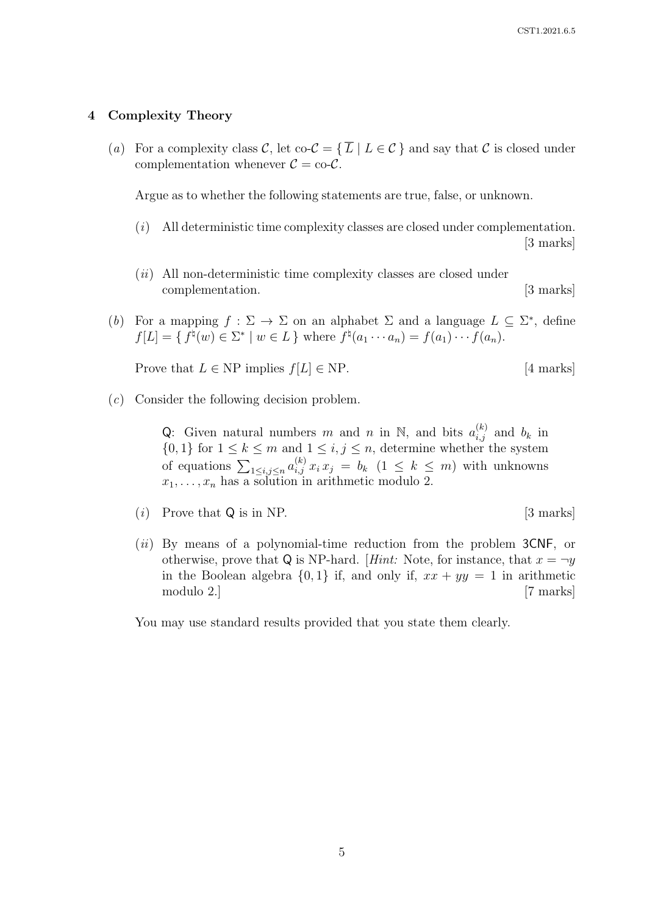## 4 Complexity Theory

(a) For a complexity class C, let  $\text{co-}\mathcal{C} = \{\overline{L} \mid L \in \mathcal{C}\}\$  and say that C is closed under complementation whenever  $C = \text{co-}C$ .

Argue as to whether the following statements are true, false, or unknown.

- (i) All deterministic time complexity classes are closed under complementation. [3 marks]
- $(ii)$  All non-deterministic time complexity classes are closed under complementation. [3 marks]
- (b) For a mapping  $f : \Sigma \to \Sigma$  on an alphabet  $\Sigma$  and a language  $L \subseteq \Sigma^*$ , define  $f[L] = \{ f^{\natural}(w) \in \Sigma^* \mid w \in L \}$  where  $f^{\natural}(a_1 \cdots a_n) = f(a_1) \cdots f(a_n)$ .

Prove that  $L \in \text{NP}$  implies  $f[L] \in \text{NP}$ . [4 marks]

(c) Consider the following decision problem.

Q: Given natural numbers m and n in N, and bits  $a_{i,j}^{(k)}$  and  $b_k$  in  $\{0,1\}$  for  $1 \leq k \leq m$  and  $1 \leq i,j \leq n$ , determine whether the system of equations  $\sum_{1 \leq i,j \leq n} a_{i,j}^{(k)} x_i x_j = b_k$   $(1 \leq k \leq m)$  with unknowns  $x_1, \ldots, x_n$  has a solution in arithmetic modulo 2.

- (*i*) Prove that  $Q$  is in NP. [3 marks]
- $(ii)$  By means of a polynomial-time reduction from the problem  $3CNF$ , or otherwise, prove that Q is NP-hard. [Hint: Note, for instance, that  $x = \neg y$ in the Boolean algebra  $\{0, 1\}$  if, and only if,  $xx + yy = 1$  in arithmetic modulo 2.] [7 marks]

You may use standard results provided that you state them clearly.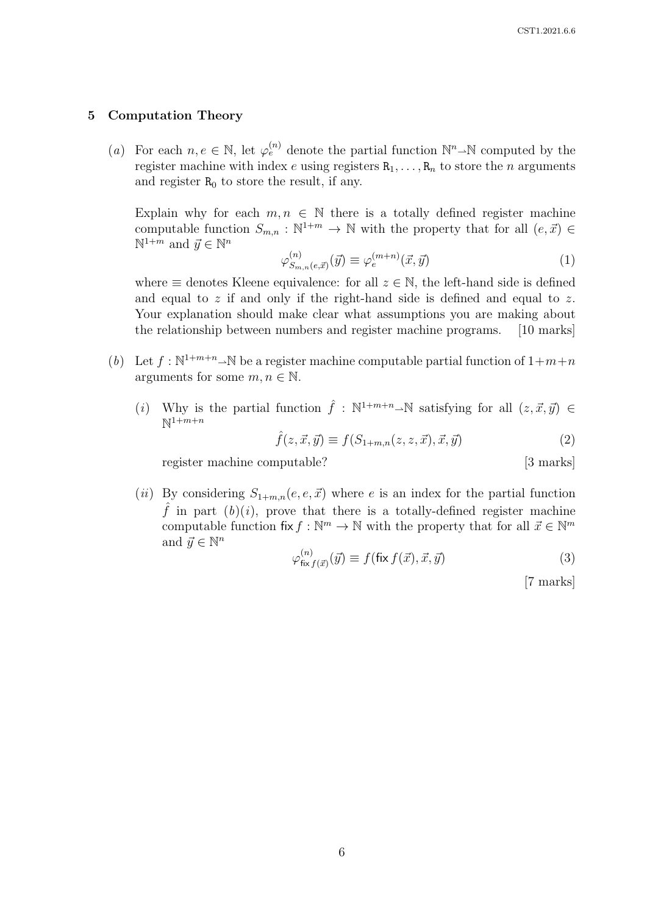#### 5 Computation Theory

(a) For each  $n, e \in \mathbb{N}$ , let  $\varphi_e^{(n)}$  denote the partial function  $\mathbb{N}^n \rightarrow \mathbb{N}$  computed by the register machine with index e using registers  $R_1, \ldots, R_n$  to store the n arguments and register  $R_0$  to store the result, if any.

Explain why for each  $m, n \in \mathbb{N}$  there is a totally defined register machine computable function  $S_{m,n} : \mathbb{N}^{1+m} \to \mathbb{N}$  with the property that for all  $(e, \vec{x}) \in$  $\mathbb{N}^{1+m}$  and  $\vec{y} \in \mathbb{N}^n$ 

$$
\varphi_{S_{m,n}(e,\vec{x})}^{(n)}(\vec{y}) \equiv \varphi_e^{(m+n)}(\vec{x},\vec{y}) \tag{1}
$$

where  $\equiv$  denotes Kleene equivalence: for all  $z \in \mathbb{N}$ , the left-hand side is defined and equal to z if and only if the right-hand side is defined and equal to z. Your explanation should make clear what assumptions you are making about the relationship between numbers and register machine programs. [10 marks]

- (b) Let  $f : \mathbb{N}^{1+m+n} \to \mathbb{N}$  be a register machine computable partial function of  $1+m+n$ arguments for some  $m, n \in \mathbb{N}$ .
	- (i) Why is the partial function  $\hat{f}: \mathbb{N}^{1+m+n} \to \mathbb{N}$  satisfying for all  $(z, \vec{x}, \vec{y}) \in$  $\mathbb{N}^{1+m+n}$

$$
\hat{f}(z,\vec{x},\vec{y}) \equiv f(S_{1+m,n}(z,z,\vec{x}),\vec{x},\vec{y}) \tag{2}
$$

register machine computable? [3 marks]

(ii) By considering  $S_{1+m,n}(e, e, \vec{x})$  where e is an index for the partial function  $\hat{f}$  in part  $(b)(i)$ , prove that there is a totally-defined register machine computable function fix  $f: \mathbb{N}^m \to \mathbb{N}$  with the property that for all  $\vec{x} \in \mathbb{N}^m$ and  $\vec{y} \in \mathbb{N}^n$ 

$$
\varphi_{\text{fix} f(\vec{x})}^{(n)}(\vec{y}) \equiv f(\text{fix} f(\vec{x}), \vec{x}, \vec{y}) \tag{3}
$$

[7 marks]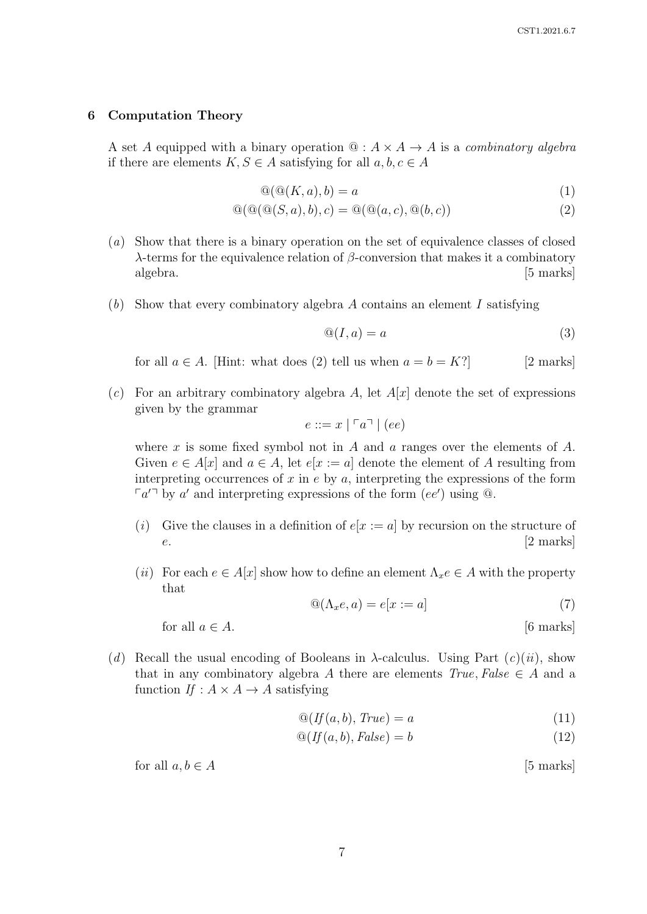#### 6 Computation Theory

A set A equipped with a binary operation  $\mathcal{Q}: A \times A \rightarrow A$  is a *combinatory algebra* if there are elements  $K, S \in A$  satisfying for all  $a, b, c \in A$ 

$$
\mathcal{Q}(\mathcal{Q}(K,a),b) = a \tag{1}
$$

$$
\mathcal{Q}(\mathcal{Q}(\mathcal{Q}(S,a),b),c) = \mathcal{Q}(\mathcal{Q}(a,c),\mathcal{Q}(b,c))
$$
\n(2)

- (a) Show that there is a binary operation on the set of equivalence classes of closed λ-terms for the equivalence relation of β-conversion that makes it a combinatory algebra. [5 marks]
- $(b)$  Show that every combinatory algebra A contains an element I satisfying

$$
\mathbb{Q}(I, a) = a \tag{3}
$$

for all  $a \in A$ . [Hint: what does (2) tell us when  $a = b = K$ ?] [2 marks]

(c) For an arbitrary combinatory algebra A, let  $A[x]$  denote the set of expressions given by the grammar

$$
e ::= x \mid \ulcorner a \urcorner \mid (ee)
$$

where x is some fixed symbol not in A and a ranges over the elements of A. Given  $e \in A[x]$  and  $a \in A$ , let  $e[x := a]$  denote the element of A resulting from interpreting occurrences of  $x$  in  $e$  by  $a$ , interpreting the expressions of the form  $\lceil a'^{\square} \rceil$  by a' and interpreting expressions of the form  $(ee')$  using  $\lceil a \rceil$ .

- (i) Give the clauses in a definition of  $e[x := a]$  by recursion on the structure of e. [2 marks]
- (ii) For each  $e \in A[x]$  show how to define an element  $\Lambda_x e \in A$  with the property that

$$
\mathbf{Q}(\Lambda_x e, a) = e[x := a] \tag{7}
$$

for all  $a \in A$ . [6 marks]

(d) Recall the usual encoding of Booleans in  $\lambda$ -calculus. Using Part  $(c)(ii)$ , show that in any combinatory algebra A there are elements  $True, False \in A$  and a function  $If: A \times A \rightarrow A$  satisfying

$$
\mathcal{Q}(If(a,b), \, True) = a \tag{11}
$$

$$
\mathcal{Q}(If(a, b), False) = b \tag{12}
$$

$$
for all  $a, b \in A$  [5 marks]
$$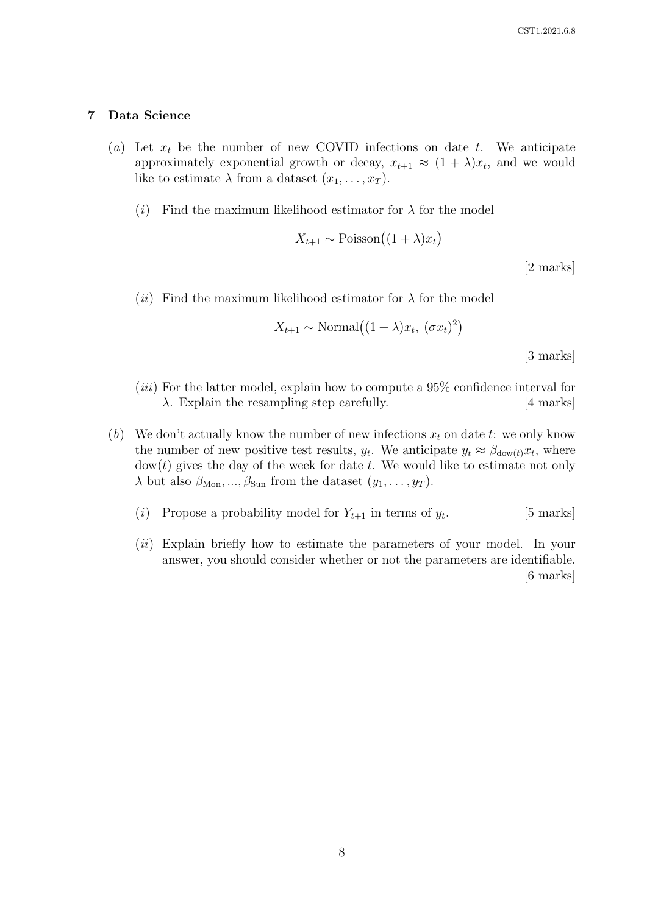## 7 Data Science

- (a) Let  $x_t$  be the number of new COVID infections on date t. We anticipate approximately exponential growth or decay,  $x_{t+1} \approx (1 + \lambda)x_t$ , and we would like to estimate  $\lambda$  from a dataset  $(x_1, \ldots, x_T)$ .
	- (i) Find the maximum likelihood estimator for  $\lambda$  for the model

$$
X_{t+1} \sim \text{Poisson}\left((1+\lambda)x_t\right)
$$

[2 marks]

(*ii*) Find the maximum likelihood estimator for  $\lambda$  for the model

$$
X_{t+1} \sim \text{Normal}((1+\lambda)x_t, (\sigma x_t)^2)
$$

[3 marks]

- $(iii)$  For the latter model, explain how to compute a 95% confidence interval for  $\lambda$ . Explain the resampling step carefully. [4 marks]
- (b) We don't actually know the number of new infections  $x_t$  on date t: we only know the number of new positive test results,  $y_t$ . We anticipate  $y_t \approx \beta_{\text{dow}(t)} x_t$ , where  $dow(t)$  gives the day of the week for date t. We would like to estimate not only  $\lambda$  but also  $\beta_{\text{Mon}}, ..., \beta_{\text{Sun}}$  from the dataset  $(y_1, ..., y_T)$ .
	- (i) Propose a probability model for  $Y_{t+1}$  in terms of  $y_t$ . . [5 marks]
	- (*ii*) Explain briefly how to estimate the parameters of your model. In your answer, you should consider whether or not the parameters are identifiable. [6 marks]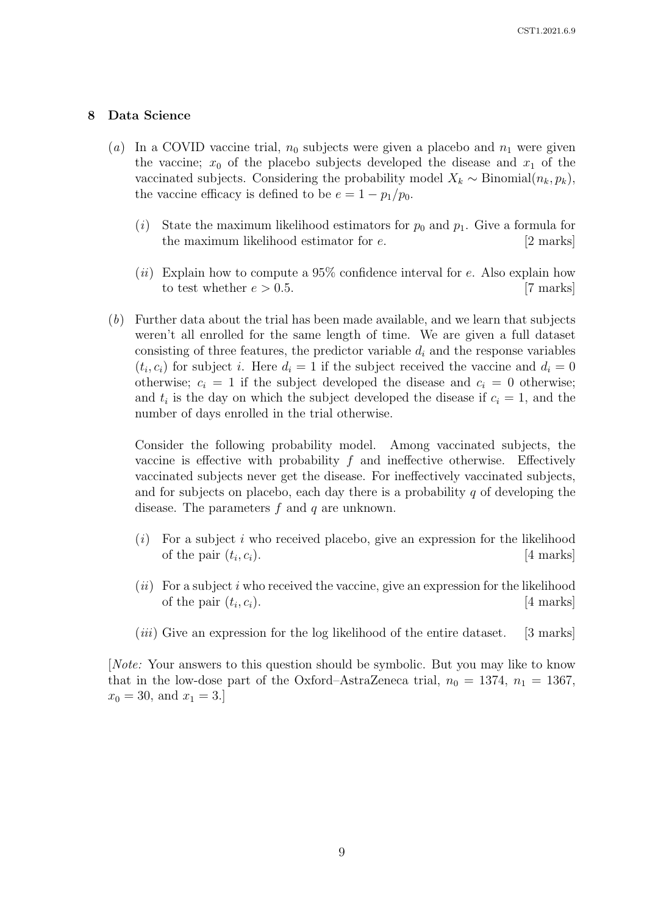## 8 Data Science

- (a) In a COVID vaccine trial,  $n_0$  subjects were given a placebo and  $n_1$  were given the vaccine;  $x_0$  of the placebo subjects developed the disease and  $x_1$  of the vaccinated subjects. Considering the probability model  $X_k \sim \text{Binomial}(n_k, p_k)$ , the vaccine efficacy is defined to be  $e = 1 - p_1/p_0$ .
	- (i) State the maximum likelihood estimators for  $p_0$  and  $p_1$ . Give a formula for the maximum likelihood estimator for e. [2 marks]
	- (ii) Explain how to compute a 95% confidence interval for  $e$ . Also explain how to test whether  $e > 0.5$ . [7 marks]
- (b) Further data about the trial has been made available, and we learn that subjects weren't all enrolled for the same length of time. We are given a full dataset consisting of three features, the predictor variable  $d_i$  and the response variables  $(t_i, c_i)$  for subject i. Here  $d_i = 1$  if the subject received the vaccine and  $d_i = 0$ otherwise;  $c_i = 1$  if the subject developed the disease and  $c_i = 0$  otherwise; and  $t_i$  is the day on which the subject developed the disease if  $c_i = 1$ , and the number of days enrolled in the trial otherwise.

Consider the following probability model. Among vaccinated subjects, the vaccine is effective with probability  $f$  and ineffective otherwise. Effectively vaccinated subjects never get the disease. For ineffectively vaccinated subjects, and for subjects on placebo, each day there is a probability  $q$  of developing the disease. The parameters f and q are unknown.

- $(i)$  For a subject i who received placebo, give an expression for the likelihood of the pair  $(t_i, c_i)$ .  $[4$  marks]
- $(ii)$  For a subject i who received the vaccine, give an expression for the likelihood of the pair  $(t_i, c_i)$ . [4 marks]
- $(iii)$  Give an expression for the log likelihood of the entire dataset. [3 marks]

[Note: Your answers to this question should be symbolic. But you may like to know that in the low-dose part of the Oxford–AstraZeneca trial,  $n_0 = 1374$ ,  $n_1 = 1367$ ,  $x_0 = 30$ , and  $x_1 = 3$ .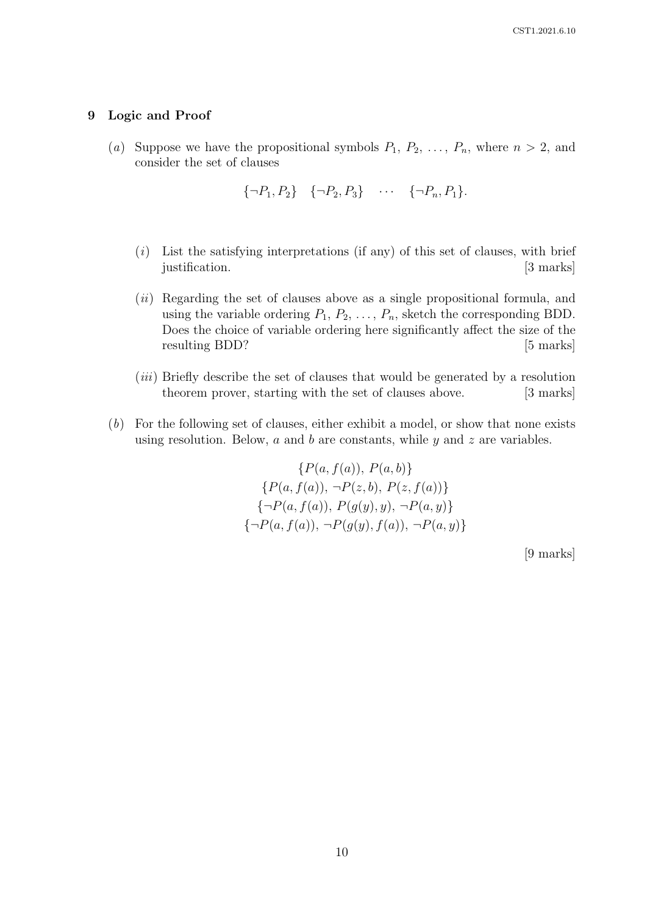### 9 Logic and Proof

(a) Suppose we have the propositional symbols  $P_1, P_2, \ldots, P_n$ , where  $n > 2$ , and consider the set of clauses

$$
\{\neg P_1, P_2\} \quad \{\neg P_2, P_3\} \quad \cdots \quad \{\neg P_n, P_1\}.
$$

- $(i)$  List the satisfying interpretations (if any) of this set of clauses, with brief justification. [3 marks]
- (ii) Regarding the set of clauses above as a single propositional formula, and using the variable ordering  $P_1, P_2, \ldots, P_n$ , sketch the corresponding BDD. Does the choice of variable ordering here significantly affect the size of the resulting BDD? [5 marks]
- (iii) Briefly describe the set of clauses that would be generated by a resolution theorem prover, starting with the set of clauses above. [3 marks]
- (b) For the following set of clauses, either exhibit a model, or show that none exists using resolution. Below,  $a$  and  $b$  are constants, while  $y$  and  $z$  are variables.

 ${P(a, f(a)), P(a, b)}$  ${P(a, f(a)), \neg P(z, b), P(z, f(a))}$  ${\neg P(a, f(a)), P(q(y), y), \neg P(a, y)}$  ${\neg P(a, f(a))}, \neg P(q(y), f(a)), \neg P(a, y)$ 

[9 marks]